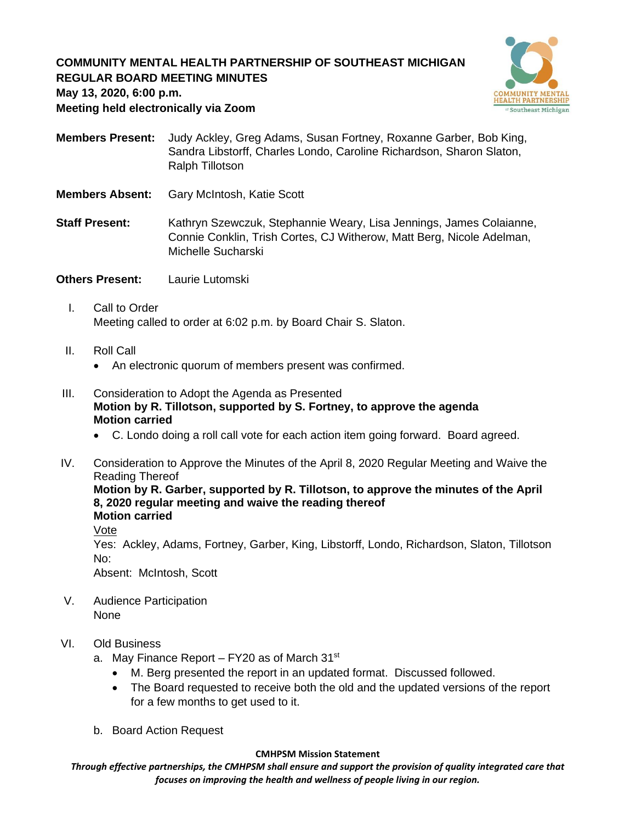# **COMMUNITY MENTAL HEALTH PARTNERSHIP OF SOUTHEAST MICHIGAN REGULAR BOARD MEETING MINUTES**



**May 13, 2020, 6:00 p.m.**

**Meeting held electronically via Zoom**

- **Members Present:** Judy Ackley, Greg Adams, Susan Fortney, Roxanne Garber, Bob King, Sandra Libstorff, Charles Londo, Caroline Richardson, Sharon Slaton, Ralph Tillotson
- **Members Absent:** Gary McIntosh, Katie Scott
- **Staff Present:** Kathryn Szewczuk, Stephannie Weary, Lisa Jennings, James Colaianne, Connie Conklin, Trish Cortes, CJ Witherow, Matt Berg, Nicole Adelman, Michelle Sucharski
- **Others Present:** Laurie Lutomski
	- I. Call to Order Meeting called to order at 6:02 p.m. by Board Chair S. Slaton.
	- II. Roll Call
		- An electronic quorum of members present was confirmed.
- III. Consideration to Adopt the Agenda as Presented **Motion by R. Tillotson, supported by S. Fortney, to approve the agenda Motion carried**
	- C. Londo doing a roll call vote for each action item going forward. Board agreed.
- IV. Consideration to Approve the Minutes of the April 8, 2020 Regular Meeting and Waive the Reading Thereof **Motion by R. Garber, supported by R. Tillotson, to approve the minutes of the April**

**8, 2020 regular meeting and waive the reading thereof Motion carried**

Vote

Yes: Ackley, Adams, Fortney, Garber, King, Libstorff, Londo, Richardson, Slaton, Tillotson No:

Absent: McIntosh, Scott

V. Audience Participation None

### VI. Old Business

- a. May Finance Report FY20 as of March 31<sup>st</sup>
	- M. Berg presented the report in an updated format. Discussed followed.
	- The Board requested to receive both the old and the updated versions of the report for a few months to get used to it.
- b. Board Action Request

#### **CMHPSM Mission Statement**

*Through effective partnerships, the CMHPSM shall ensure and support the provision of quality integrated care that focuses on improving the health and wellness of people living in our region.*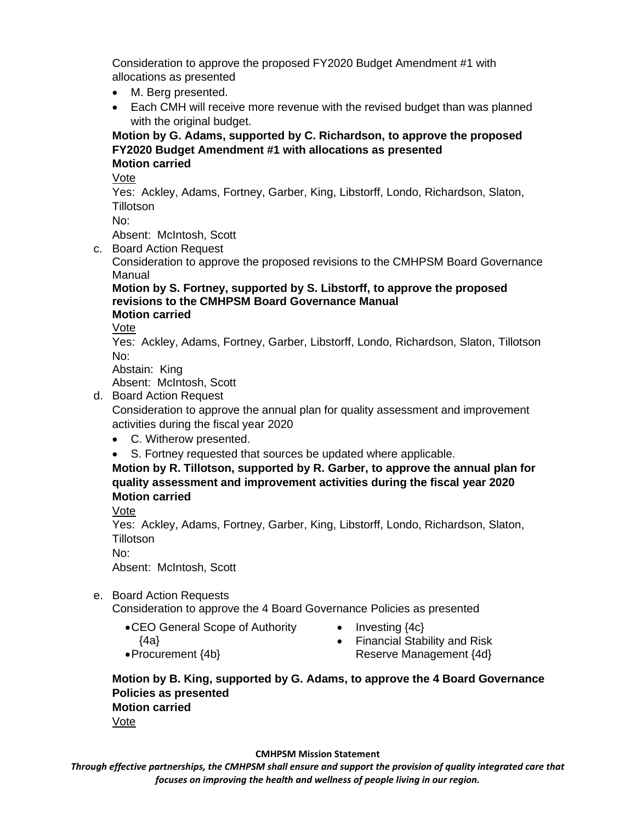Consideration to approve the proposed FY2020 Budget Amendment #1 with allocations as presented

- M. Berg presented.
- Each CMH will receive more revenue with the revised budget than was planned with the original budget.

### **Motion by G. Adams, supported by C. Richardson, to approve the proposed FY2020 Budget Amendment #1 with allocations as presented Motion carried**

Vote

Yes: Ackley, Adams, Fortney, Garber, King, Libstorff, Londo, Richardson, Slaton, **Tillotson** 

No:

Absent: McIntosh, Scott

c. Board Action Request

Consideration to approve the proposed revisions to the CMHPSM Board Governance Manual

#### **Motion by S. Fortney, supported by S. Libstorff, to approve the proposed revisions to the CMHPSM Board Governance Manual Motion carried**

Vote

Yes: Ackley, Adams, Fortney, Garber, Libstorff, Londo, Richardson, Slaton, Tillotson No:

Abstain: King

Absent: McIntosh, Scott

d. Board Action Request

Consideration to approve the annual plan for quality assessment and improvement activities during the fiscal year 2020

- C. Witherow presented.
- S. Fortney requested that sources be updated where applicable.

**Motion by R. Tillotson, supported by R. Garber, to approve the annual plan for quality assessment and improvement activities during the fiscal year 2020 Motion carried**

Vote

Yes: Ackley, Adams, Fortney, Garber, King, Libstorff, Londo, Richardson, Slaton, **Tillotson** 

No:

Absent: McIntosh, Scott

e. Board Action Requests

Consideration to approve the 4 Board Governance Policies as presented

- •CEO General Scope of Authority
- Investing  ${4c}$

{4a}

• Financial Stability and Risk Reserve Management {4d}

- •Procurement {4b}
- **Motion by B. King, supported by G. Adams, to approve the 4 Board Governance Policies as presented Motion carried** Vote

#### **CMHPSM Mission Statement**

*Through effective partnerships, the CMHPSM shall ensure and support the provision of quality integrated care that focuses on improving the health and wellness of people living in our region.*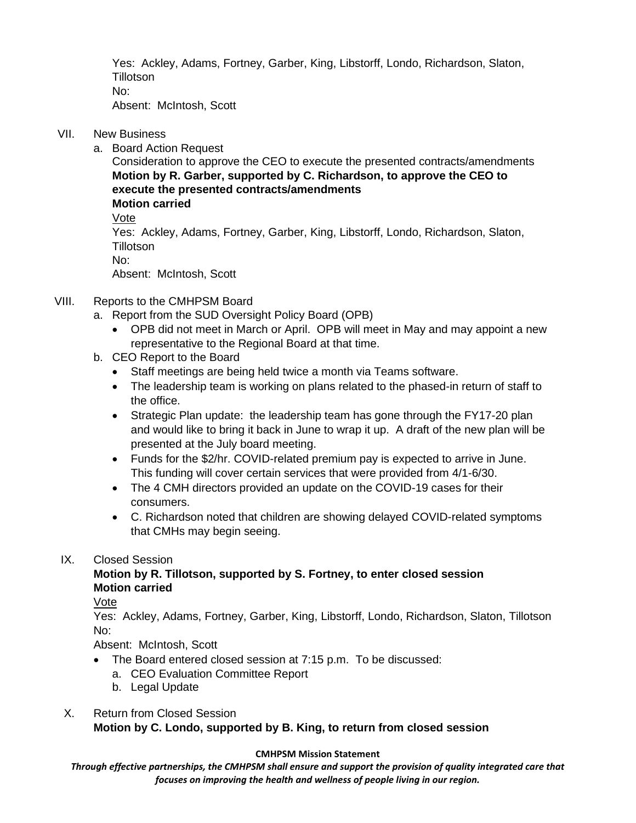Yes: Ackley, Adams, Fortney, Garber, King, Libstorff, Londo, Richardson, Slaton, **Tillotson** No:

Absent: McIntosh, Scott

## VII. New Business

a. Board Action Request

Consideration to approve the CEO to execute the presented contracts/amendments **Motion by R. Garber, supported by C. Richardson, to approve the CEO to execute the presented contracts/amendments Motion carried**

Vote

Yes: Ackley, Adams, Fortney, Garber, King, Libstorff, Londo, Richardson, Slaton, **Tillotson** 

No:

Absent: McIntosh, Scott

# VIII. Reports to the CMHPSM Board

- a. Report from the SUD Oversight Policy Board (OPB)
	- OPB did not meet in March or April. OPB will meet in May and may appoint a new representative to the Regional Board at that time.
- b. CEO Report to the Board
	- Staff meetings are being held twice a month via Teams software.
	- The leadership team is working on plans related to the phased-in return of staff to the office.
	- Strategic Plan update: the leadership team has gone through the FY17-20 plan and would like to bring it back in June to wrap it up. A draft of the new plan will be presented at the July board meeting.
	- Funds for the \$2/hr. COVID-related premium pay is expected to arrive in June. This funding will cover certain services that were provided from 4/1-6/30.
	- The 4 CMH directors provided an update on the COVID-19 cases for their consumers.
	- C. Richardson noted that children are showing delayed COVID-related symptoms that CMHs may begin seeing.

# IX. Closed Session

## **Motion by R. Tillotson, supported by S. Fortney, to enter closed session Motion carried**

Vote

Yes: Ackley, Adams, Fortney, Garber, King, Libstorff, Londo, Richardson, Slaton, Tillotson No:

Absent: McIntosh, Scott

- The Board entered closed session at 7:15 p.m. To be discussed:
	- a. CEO Evaluation Committee Report
	- b. Legal Update

#### X. Return from Closed Session **Motion by C. Londo, supported by B. King, to return from closed session**

# **CMHPSM Mission Statement**

*Through effective partnerships, the CMHPSM shall ensure and support the provision of quality integrated care that focuses on improving the health and wellness of people living in our region.*